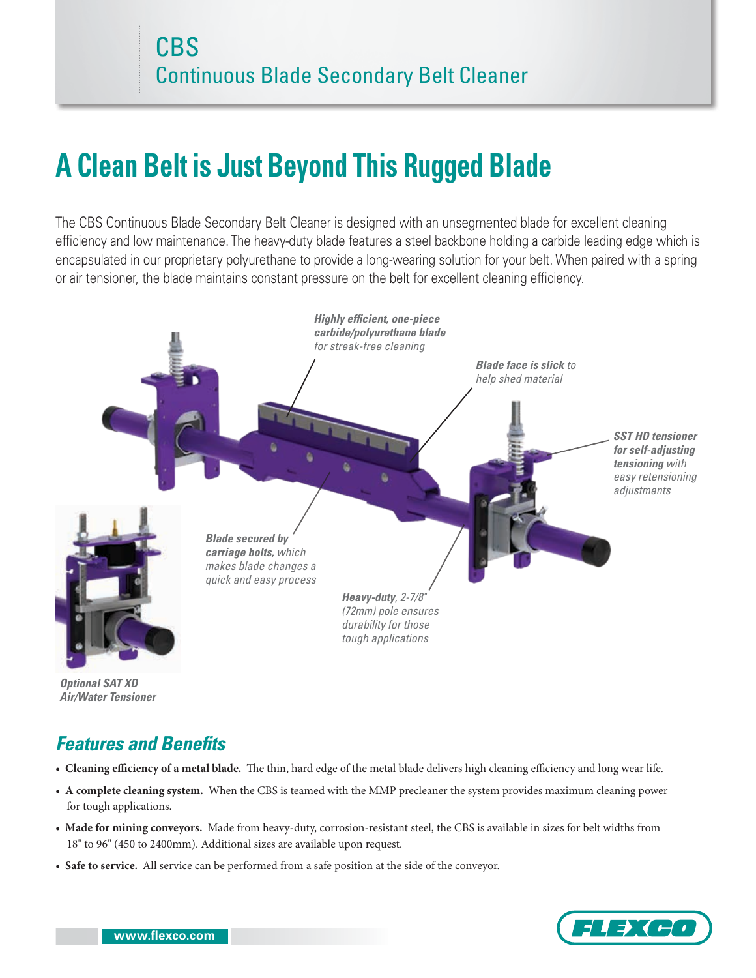# **A Clean Belt is Just Beyond This Rugged Blade**

The CBS Continuous Blade Secondary Belt Cleaner is designed with an unsegmented blade for excellent cleaning efficiency and low maintenance. The heavy-duty blade features a steel backbone holding a carbide leading edge which is encapsulated in our proprietary polyurethane to provide a long-wearing solution for your belt. When paired with a spring or air tensioner, the blade maintains constant pressure on the belt for excellent cleaning efficiency.



*Optional SAT XD Air/Water Tensioner*

# *Features and Benefits*

- **Cleaning efficiency of a metal blade.** The thin, hard edge of the metal blade delivers high cleaning efficiency and long wear life.
- **A complete cleaning system.** When the CBS is teamed with the MMP precleaner the system provides maximum cleaning power for tough applications.
- **Made for mining conveyors.** Made from heavy-duty, corrosion-resistant steel, the CBS is available in sizes for belt widths from 18" to 96" (450 to 2400mm). Additional sizes are available upon request.
- **Safe to service.** All service can be performed from a safe position at the side of the conveyor.